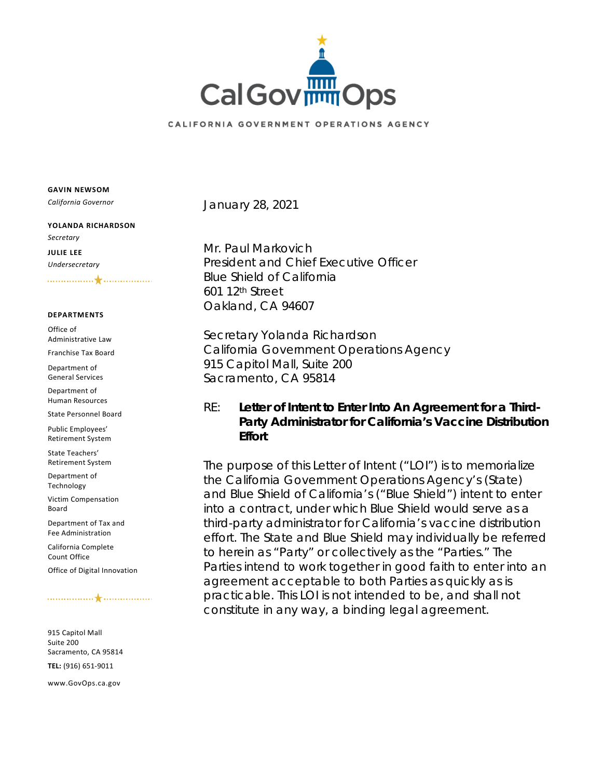

### CALIFORNIA GOVERNMENT OPERATIONS AGENCY

**GAVIN NEWSOM**

*California Governor*

## **YOLANDA RICHARDSON**

*Secretary*

**JULIE LEE** *Undersecretary*

#### **DEPARTMENTS**

Office of Administrative Law

Franchise Tax Board

Department of General Services

Department of Human Resources

State Personnel Board

Public Employees' Retirement System

State Teachers' Retirement System

Department of Technology

Victim Compensation Board

Department of Tax and Fee Administration

California Complete Count Office Office of Digital Innovation

#### 

915 Capitol Mall Suite 200 Sacramento, CA 95814 **TEL:** (916) 651-9011

www.GovOps.ca.gov

January 28, 2021

Mr. Paul Markovich President and Chief Executive Officer Blue Shield of California 601 12th Street Oakland, CA 94607

Secretary Yolanda Richardson California Government Operations Agency 915 Capitol Mall, Suite 200 Sacramento, CA 95814

# RE: **Letter of Intent to Enter Into An Agreement for a Third-Party Administrator for California's Vaccine Distribution Effort**

The purpose of this Letter of Intent ("LOI") is to memorialize the California Government Operations Agency's (State) and Blue Shield of California's ("Blue Shield") intent to enter into a contract, under which Blue Shield would serve as a third-party administrator for California's vaccine distribution effort. The State and Blue Shield may individually be referred to herein as "Party" or collectively as the "Parties." The Parties intend to work together in good faith to enter into an agreement acceptable to both Parties as quickly as is practicable. This LOI is not intended to be, and shall not constitute in any way, a binding legal agreement.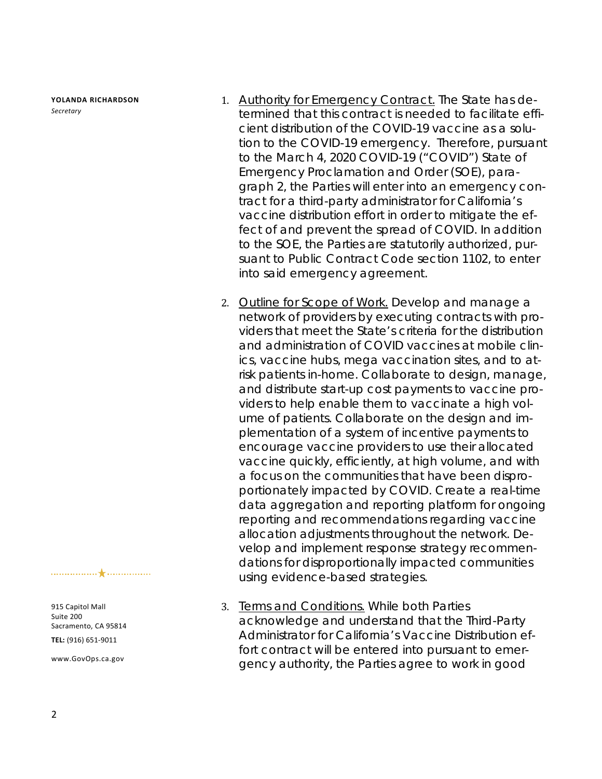**YOLANDA RICHARDSON**  *Secretary*

- 1. Authority for Emergency Contract. The State has determined that this contract is needed to facilitate efficient distribution of the COVID-19 vaccine as a solution to the COVID-19 emergency. Therefore, pursuant to the March 4, 2020 COVID-19 ("COVID") State of Emergency Proclamation and Order (SOE), paragraph 2, the Parties will enter into an emergency contract for a third-party administrator for California's vaccine distribution effort in order to mitigate the effect of and prevent the spread of COVID. In addition to the SOE, the Parties are statutorily authorized, pursuant to Public Contract Code section 1102, to enter into said emergency agreement.
- 2. Outline for Scope of Work. Develop and manage a network of providers by executing contracts with providers that meet the State's criteria for the distribution and administration of COVID vaccines at mobile clinics, vaccine hubs, mega vaccination sites, and to atrisk patients in-home. Collaborate to design, manage, and distribute start-up cost payments to vaccine providers to help enable them to vaccinate a high volume of patients. Collaborate on the design and implementation of a system of incentive payments to encourage vaccine providers to use their allocated vaccine quickly, efficiently, at high volume, and with a focus on the communities that have been disproportionately impacted by COVID. Create a real-time data aggregation and reporting platform for ongoing reporting and recommendations regarding vaccine allocation adjustments throughout the network. Develop and implement response strategy recommendations for disproportionally impacted communities using evidence-based strategies.
- 3. Terms and Conditions. While both Parties acknowledge and understand that the Third-Party Administrator for California's Vaccine Distribution effort contract will be entered into pursuant to emergency authority, the Parties agree to work in good

915 Capitol Mall Suite 200 Sacramento, CA 95814 **TEL:** (916) 651-9011

www.GovOps.ca.gov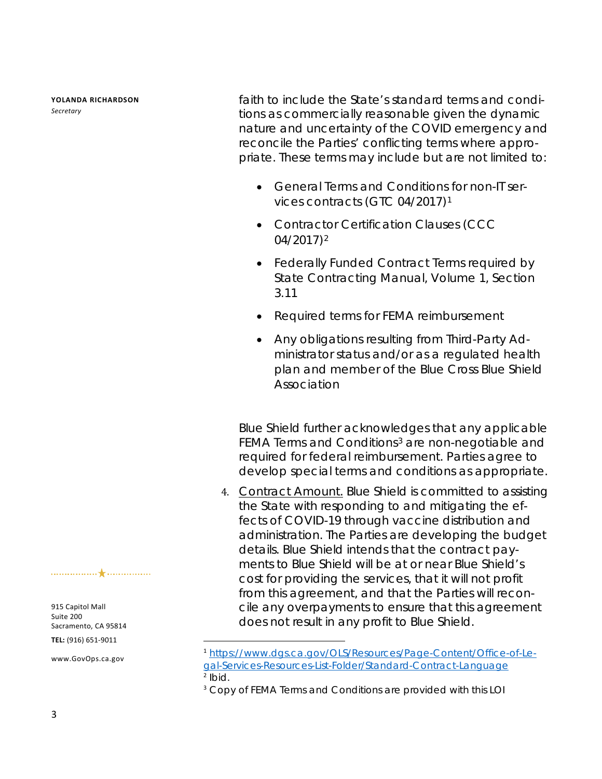**YOLANDA RICHARDSON**  *Secretary*

faith to include the State's standard terms and conditions as commercially reasonable given the dynamic nature and uncertainty of the COVID emergency and reconcile the Parties' conflicting terms where appropriate. These terms may include but are not limited to:

- General Terms and Conditions for non-IT services contracts (GTC 04/2017)[1](#page-2-0)
- Contractor Certification Clauses (CCC 04/2017)[2](#page-2-1)
- Federally Funded Contract Terms required by State Contracting Manual, Volume 1, Section 3.11
- Required terms for FEMA reimbursement
- Any obligations resulting from Third-Party Administrator status and/or as a regulated health plan and member of the Blue Cross Blue Shield Association

Blue Shield further acknowledges that any applicable FEMA Terms and Conditions<sup>[3](#page-2-2)</sup> are non-negotiable and required for federal reimbursement. Parties agree to develop special terms and conditions as appropriate.

4. Contract Amount. Blue Shield is committed to assisting the State with responding to and mitigating the effects of COVID-19 through vaccine distribution and administration. The Parties are developing the budget details. Blue Shield intends that the contract payments to Blue Shield will be at or near Blue Shield's cost for providing the services, that it will not profit from this agreement, and that the Parties will reconcile any overpayments to ensure that this agreement does not result in any profit to Blue Shield.

915 Capitol Mall Suite 200 Sacramento, CA 95814

**TEL:** (916) 651-9011

<span id="page-2-2"></span><span id="page-2-1"></span><span id="page-2-0"></span>www.GovOps.ca.gov

<sup>1</sup> [https://www.dgs.ca.gov/OLS/Resources/Page-Content/Office-of-Le](https://www.dgs.ca.gov/OLS/Resources/Page-Content/Office-of-Legal-Services-Resources-List-Folder/Standard-Contract-Language)[gal-Services-Resources-List-Folder/Standard-Contract-Language](https://www.dgs.ca.gov/OLS/Resources/Page-Content/Office-of-Legal-Services-Resources-List-Folder/Standard-Contract-Language)  $2$  Ibid.

<sup>&</sup>lt;sup>3</sup> Copy of FEMA Terms and Conditions are provided with this LOI